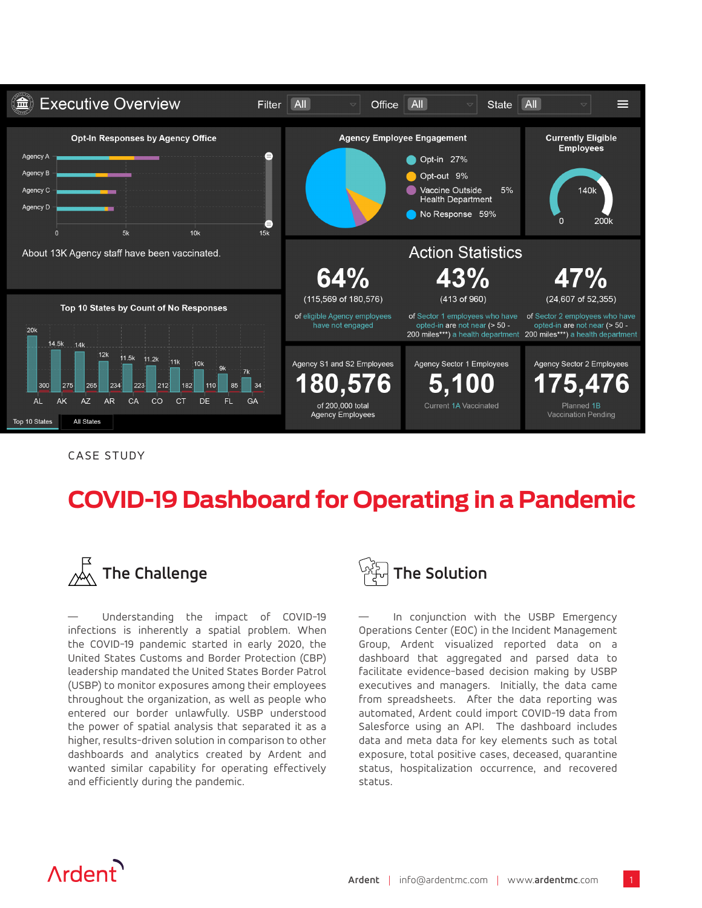

CASE STUDY

## **COVID-19 Dashboard for Operating in a Pandemic**



— Understanding the impact of COVID-19 infections is inherently a spatial problem. When the COVID-19 pandemic started in early 2020, the United States Customs and Border Protection (CBP) leadership mandated the United States Border Patrol (USBP) to monitor exposures among their employees throughout the organization, as well as people who entered our border unlawfully. USBP understood the power of spatial analysis that separated it as a higher, results-driven solution in comparison to other dashboards and analytics created by Ardent and wanted similar capability for operating effectively and efficiently during the pandemic.



In conjunction with the USBP Emergency Operations Center (EOC) in the Incident Management Group, Ardent visualized reported data on a dashboard that aggregated and parsed data to facilitate evidence-based decision making by USBP executives and managers. Initially, the data came from spreadsheets. After the data reporting was automated, Ardent could import COVID-19 data from Salesforce using an API. The dashboard includes data and meta data for key elements such as total exposure, total positive cases, deceased, quarantine status, hospitalization occurrence, and recovered status.